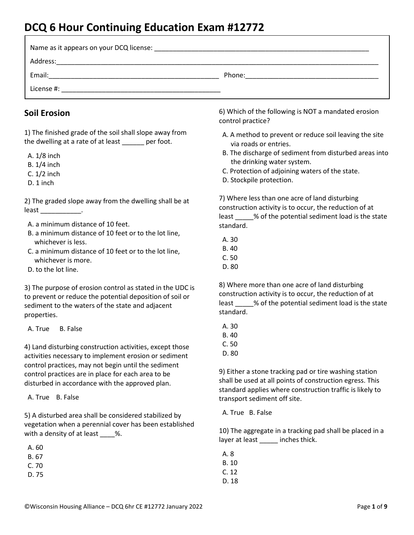# **DCQ 6 Hour Continuing Education Exam #12772**

| Name as it appears on your DCQ license: |        |
|-----------------------------------------|--------|
| Address:                                |        |
| Email:                                  | Phone: |
| License #:                              |        |

#### **Soil Erosion**

1) The finished grade of the soil shall slope away from the dwelling at a rate of at least per foot.

- A. 1/8 inch
- B. 1/4 inch
- C. 1/2 inch
- D. 1 inch

2) The graded slope away from the dwelling shall be at least \_\_\_\_\_\_\_\_\_\_\_\_\_.

- A. a minimum distance of 10 feet.
- B. a minimum distance of 10 feet or to the lot line, whichever is less.
- C. a minimum distance of 10 feet or to the lot line, whichever is more.
- D. to the lot line.

3) The purpose of erosion control as stated in the UDC is to prevent or reduce the potential deposition of soil or sediment to the waters of the state and adjacent properties.

A. True B. False

4) Land disturbing construction activities, except those activities necessary to implement erosion or sediment control practices, may not begin until the sediment control practices are in place for each area to be disturbed in accordance with the approved plan.

A. True B. False

5) A disturbed area shall be considered stabilized by vegetation when a perennial cover has been established with a density of at least \_\_\_\_%.

| A | 60 |
|---|----|
| к | 67 |

|    | $\sim$<br>۰. |
|----|--------------|
| v. |              |
|    |              |

D. 75

6) Which of the following is NOT a mandated erosion control practice?

- A. A method to prevent or reduce soil leaving the site via roads or entries.
- B. The discharge of sediment from disturbed areas into the drinking water system.
- C. Protection of adjoining waters of the state.
- D. Stockpile protection.

7) Where less than one acre of land disturbing construction activity is to occur, the reduction of at least \_\_\_\_\_% of the potential sediment load is the state standard.

- A. 30
- B. 40
- C. 50
- D. 80

8) Where more than one acre of land disturbing construction activity is to occur, the reduction of at least \_\_\_\_\_% of the potential sediment load is the state standard.

- A. 30
- B. 40
- C. 50
- D. 80

9) Either a stone tracking pad or tire washing station shall be used at all points of construction egress. This standard applies where construction traffic is likely to transport sediment off site.

A. True B. False

10) The aggregate in a tracking pad shall be placed in a layer at least \_\_\_\_\_\_ inches thick.

 A. 8 B. 10 C. 12 D. 18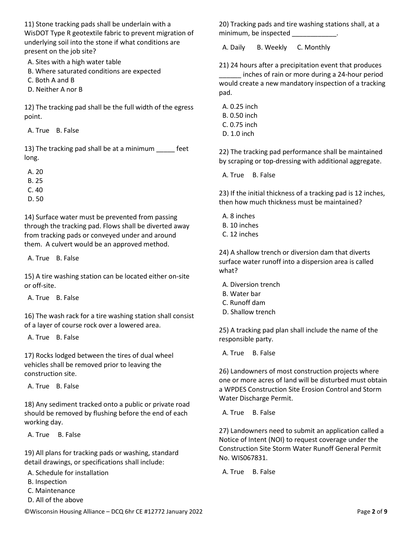11) Stone tracking pads shall be underlain with a WisDOT Type R geotextile fabric to prevent migration of underlying soil into the stone if what conditions are present on the job site?

A. Sites with a high water table

- B. Where saturated conditions are expected
- C. Both A and B
- D. Neither A nor B

12) The tracking pad shall be the full width of the egress point.

A. True B. False

13) The tracking pad shall be at a minimum \_\_\_\_\_ feet long.

A. 20

- B. 25
- C. 40
- D. 50

14) Surface water must be prevented from passing through the tracking pad. Flows shall be diverted away from tracking pads or conveyed under and around them. A culvert would be an approved method.

A. True B. False

15) A tire washing station can be located either on-site or off-site.

A. True B. False

16) The wash rack for a tire washing station shall consist of a layer of course rock over a lowered area.

A. True B. False

17) Rocks lodged between the tires of dual wheel vehicles shall be removed prior to leaving the construction site.

A. True B. False

18) Any sediment tracked onto a public or private road should be removed by flushing before the end of each working day.

A. True B. False

19) All plans for tracking pads or washing, standard detail drawings, or specifications shall include:

A. Schedule for installation

- B. Inspection
- C. Maintenance
- D. All of the above

20) Tracking pads and tire washing stations shall, at a minimum, be inspected \_\_\_\_\_\_\_\_\_\_\_\_.

A. Daily B. Weekly C. Monthly

21) 24 hours after a precipitation event that produces inches of rain or more during a 24-hour period would create a new mandatory inspection of a tracking pad.

 A. 0.25 inch B. 0.50 inch C. 0.75 inch D. 1.0 inch

22) The tracking pad performance shall be maintained by scraping or top-dressing with additional aggregate.

A. True B. False

23) If the initial thickness of a tracking pad is 12 inches, then how much thickness must be maintained?

- A. 8 inches B. 10 inches
- C. 12 inches

24) A shallow trench or diversion dam that diverts surface water runoff into a dispersion area is called what?

- A. Diversion trench
- B. Water bar
- C. Runoff dam
- D. Shallow trench

25) A tracking pad plan shall include the name of the responsible party.

A. True B. False

26) Landowners of most construction projects where one or more acres of land will be disturbed must obtain a WPDES Construction Site Erosion Control and Storm Water Discharge Permit.

A. True B. False

27) Landowners need to submit an application called a Notice of Intent (NOI) to request coverage under the Construction Site Storm Water Runoff General Permit No. WIS067831.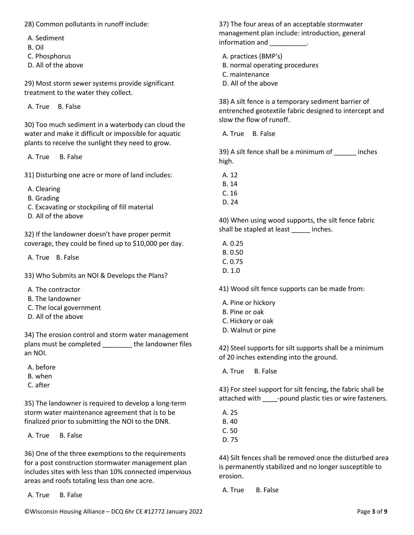- A. Sediment
- B. Oil
- C. Phosphorus
- D. All of the above

29) Most storm sewer systems provide significant treatment to the water they collect.

A. True B. False

30) Too much sediment in a waterbody can cloud the water and make it difficult or impossible for aquatic plants to receive the sunlight they need to grow.

A. True B. False

31) Disturbing one acre or more of land includes:

- A. Clearing
- B. Grading
- C. Excavating or stockpiling of fill material
- D. All of the above

32) If the landowner doesn't have proper permit coverage, they could be fined up to \$10,000 per day.

A. True B. False

33) Who Submits an NOI & Develops the Plans?

- A. The contractor
- B. The landowner
- C. The local government
- D. All of the above

34) The erosion control and storm water management plans must be completed \_\_\_\_\_\_\_\_ the landowner files an NOI.

A. before

- B. when
- C. after

35) The landowner is required to develop a long-term storm water maintenance agreement that is to be finalized prior to submitting the NOI to the DNR.

A. True B. False

36) One of the three exemptions to the requirements for a post construction stormwater management plan includes sites with less than 10% connected impervious areas and roofs totaling less than one acre.

A. True B. False

37) The four areas of an acceptable stormwater management plan include: introduction, general information and \_\_\_\_\_\_\_\_\_\_.

A. practices (BMP's)

- B. normal operating procedures
- C. maintenance
- D. All of the above

38) A silt fence is a temporary sediment barrier of entrenched geotextile fabric designed to intercept and slow the flow of runoff.

A. True B. False

39) A silt fence shall be a minimum of \_\_\_\_\_\_ inches high.

- A. 12
- B. 14
- C. 16
- D. 24

40) When using wood supports, the silt fence fabric shall be stapled at least \_\_\_\_\_ inches.

- A. 0.25
- B. 0.50
- C. 0.75
- D. 1.0

41) Wood silt fence supports can be made from:

- A. Pine or hickory
- B. Pine or oak
- C. Hickory or oak
- D. Walnut or pine

42) Steel supports for silt supports shall be a minimum of 20 inches extending into the ground.

A. True B. False

43) For steel support for silt fencing, the fabric shall be attached with \_\_\_\_\_-pound plastic ties or wire fasteners.

- A. 25
- B. 40
- C. 50
- D. 75

44) Silt fences shall be removed once the disturbed area is permanently stabilized and no longer susceptible to erosion.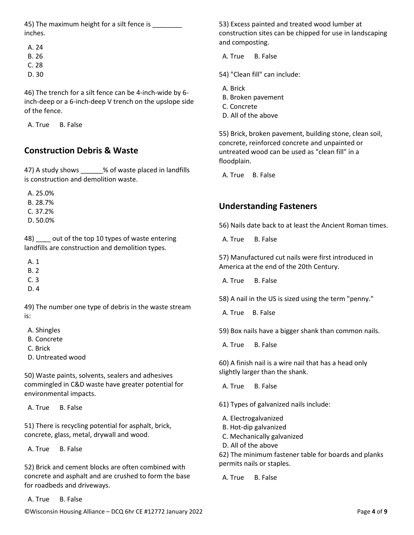45) The maximum height for a silt fence is inches.

 A. 24 B. 26

- C. 28
- D. 30

46) The trench for a silt fence can be 4-inch-wide by 6 inch-deep or a 6-inch-deep V trench on the upslope side of the fence.

A. True B. False

## **Construction Debris & Waste**

47) A study shows \_\_\_\_\_\_% of waste placed in landfills is construction and demolition waste.

 A. 25.0% B. 28.7% C. 37.2% D. 50.0%

48) out of the top 10 types of waste entering landfills are construction and demolition types.

A. 1

B. 2

- C. 3
- D. 4

49) The number one type of debris in the waste stream is:

A. Shingles

B. Concrete

C. Brick

D. Untreated wood

50) Waste paints, solvents, sealers and adhesives commingled in C&D waste have greater potential for environmental impacts.

A. True B. False

51) There is recycling potential for asphalt, brick, concrete, glass, metal, drywall and wood.

A. True B. False

52) Brick and cement blocks are often combined with concrete and asphalt and are crushed to form the base for roadbeds and driveways.

A. True B. False

53) Excess painted and treated wood lumber at construction sites can be chipped for use in landscaping and composting.

A. True B. False

- 54) "Clean fill" can include:
- A. Brick
- B. Broken pavement
- C. Concrete
- D. All of the above

55) Brick, broken pavement, building stone, clean soil, concrete, reinforced concrete and unpainted or untreated wood can be used as "clean fill" in a floodplain.

A. True B. False

# **Understanding Fasteners**

56) Nails date back to at least the Ancient Roman times.

A. True B. False

57) Manufactured cut nails were first introduced in America at the end of the 20th Century.

A. True B. False

58) A nail in the US is sized using the term "penny."

A. True B. False

59) Box nails have a bigger shank than common nails.

A. True B. False

60) A finish nail is a wire nail that has a head only slightly larger than the shank.

A. True B. False

61) Types of galvanized nails include:

- A. Electrogalvanized
- B. Hot-dip galvanized
- C. Mechanically galvanized
- D. All of the above

62) The minimum fastener table for boards and planks permits nails or staples.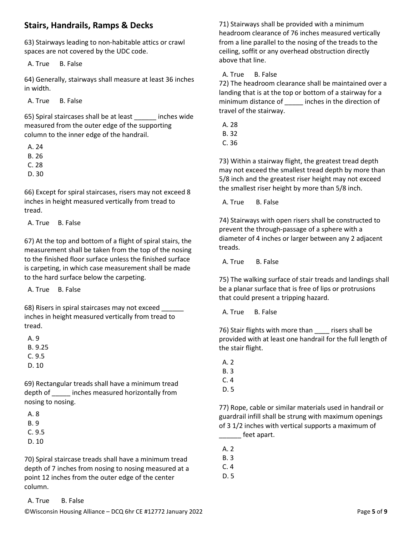#### **Stairs, Handrails, Ramps & Decks**

63) Stairways leading to non-habitable attics or crawl spaces are not covered by the UDC code.

A. True B. False

64) Generally, stairways shall measure at least 36 inches in width.

A. True B. False

65) Spiral staircases shall be at least \_\_\_\_\_\_ inches wide measured from the outer edge of the supporting column to the inner edge of the handrail.

 A. 24 B. 26 C. 28

D. 30

66) Except for spiral staircases, risers may not exceed 8 inches in height measured vertically from tread to tread.

A. True B. False

67) At the top and bottom of a flight of spiral stairs, the measurement shall be taken from the top of the nosing to the finished floor surface unless the finished surface is carpeting, in which case measurement shall be made to the hard surface below the carpeting.

A. True B. False

68) Risers in spiral staircases may not exceed inches in height measured vertically from tread to tread.

 A. 9 B. 9.25 C. 9.5 D. 10

69) Rectangular treads shall have a minimum tread depth of \_\_\_\_\_ inches measured horizontally from nosing to nosing.

 A. 8 B. 9 C. 9.5 D. 10

70) Spiral staircase treads shall have a minimum tread depth of 7 inches from nosing to nosing measured at a point 12 inches from the outer edge of the center column.

71) Stairways shall be provided with a minimum headroom clearance of 76 inches measured vertically from a line parallel to the nosing of the treads to the ceiling, soffit or any overhead obstruction directly above that line.

A. True B. False

72) The headroom clearance shall be maintained over a landing that is at the top or bottom of a stairway for a minimum distance of early inches in the direction of travel of the stairway.

A. 28

B. 32

C. 36

73) Within a stairway flight, the greatest tread depth may not exceed the smallest tread depth by more than 5/8 inch and the greatest riser height may not exceed the smallest riser height by more than 5/8 inch.

A. True B. False

74) Stairways with open risers shall be constructed to prevent the through-passage of a sphere with a diameter of 4 inches or larger between any 2 adjacent treads.

A. True B. False

75) The walking surface of stair treads and landings shall be a planar surface that is free of lips or protrusions that could present a tripping hazard.

A. True B. False

76) Stair flights with more than \_\_\_\_ risers shall be provided with at least one handrail for the full length of the stair flight.

- A. 2
- B. 3
- C. 4
- D. 5

77) Rope, cable or similar materials used in handrail or guardrail infill shall be strung with maximum openings of 3 1/2 inches with vertical supports a maximum of \_\_\_\_\_\_ feet apart.

A. 2

B. 3

C. 4

D. 5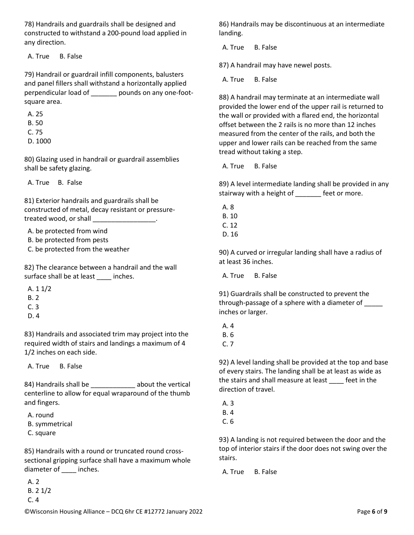78) Handrails and guardrails shall be designed and constructed to withstand a 200-pound load applied in any direction.

A. True B. False

79) Handrail or guardrail infill components, balusters and panel fillers shall withstand a horizontally applied perpendicular load of \_\_\_\_\_\_\_ pounds on any one-footsquare area.

- A. 25 B. 50 C. 75
- D. 1000

80) Glazing used in handrail or guardrail assemblies shall be safety glazing.

A. True B. False

81) Exterior handrails and guardrails shall be constructed of metal, decay resistant or pressuretreated wood, or shall

A. be protected from wind

- B. be protected from pests
- C. be protected from the weather

82) The clearance between a handrail and the wall surface shall be at least inches.

- A. 1 1/2
- B. 2
- C. 3
- D. 4

83) Handrails and associated trim may project into the required width of stairs and landings a maximum of 4 1/2 inches on each side.

A. True B. False

84) Handrails shall be \_\_\_\_\_\_\_\_\_\_\_\_ about the vertical centerline to allow for equal wraparound of the thumb and fingers.

- A. round
- B. symmetrical
- C. square

85) Handrails with a round or truncated round crosssectional gripping surface shall have a maximum whole diameter of \_\_\_\_\_ inches.

 A. 2 B. 2 1/2 C. 4

86) Handrails may be discontinuous at an intermediate landing.

A. True B. False

87) A handrail may have newel posts.

A. True B. False

88) A handrail may terminate at an intermediate wall provided the lower end of the upper rail is returned to the wall or provided with a flared end, the horizontal offset between the 2 rails is no more than 12 inches measured from the center of the rails, and both the upper and lower rails can be reached from the same tread without taking a step.

A. True B. False

89) A level intermediate landing shall be provided in any stairway with a height of \_\_\_\_\_\_\_ feet or more.

- A. 8
- B. 10
- C. 12
- D. 16

90) A curved or irregular landing shall have a radius of at least 36 inches.

A. True B. False

91) Guardrails shall be constructed to prevent the through-passage of a sphere with a diameter of \_\_\_\_\_ inches or larger.

- A. 4 B. 6
- C. 7

92) A level landing shall be provided at the top and base of every stairs. The landing shall be at least as wide as the stairs and shall measure at least \_\_\_\_ feet in the direction of travel.

- A. 3 B. 4
- C. 6

93) A landing is not required between the door and the top of interior stairs if the door does not swing over the stairs.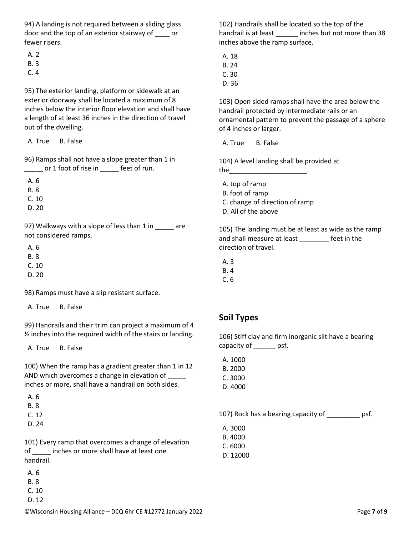94) A landing is not required between a sliding glass door and the top of an exterior stairway of \_\_\_\_ or fewer risers.

- A. 2
- B. 3
- C. 4

95) The exterior landing, platform or sidewalk at an exterior doorway shall be located a maximum of 8 inches below the interior floor elevation and shall have a length of at least 36 inches in the direction of travel out of the dwelling.

A. True B. False

96) Ramps shall not have a slope greater than 1 in \_\_\_\_\_ or 1 foot of rise in \_\_\_\_\_ feet of run.

A. 6

B. 8

C. 10

D. 20

97) Walkways with a slope of less than 1 in \_\_\_\_\_ are not considered ramps.

 A. 6 B. 8

C. 10

D. 20

98) Ramps must have a slip resistant surface.

A. True B. False

99) Handrails and their trim can project a maximum of 4 ½ inches into the required width of the stairs or landing.

A. True B. False

100) When the ramp has a gradient greater than 1 in 12 AND which overcomes a change in elevation of inches or more, shall have a handrail on both sides.

A. 6

- B. 8
- C. 12
- D. 24

101) Every ramp that overcomes a change of elevation of \_\_\_\_\_ inches or more shall have at least one handrail.

A. 6

- B. 8
- C. 10
- D. 12

102) Handrails shall be located so the top of the handrail is at least \_\_\_\_\_\_ inches but not more than 38 inches above the ramp surface.

A. 18

B. 24

- C. 30
- D. 36

103) Open sided ramps shall have the area below the handrail protected by intermediate rails or an ornamental pattern to prevent the passage of a sphere of 4 inches or larger.

A. True B. False

104) A level landing shall be provided at  $the$ 

- A. top of ramp
- B. foot of ramp
- C. change of direction of ramp
- D. All of the above

105) The landing must be at least as wide as the ramp and shall measure at least feet in the direction of travel.

- A. 3
- B. 4
- C. 6

## **Soil Types**

106) Stiff clay and firm inorganic silt have a bearing capacity of psf.

A. 1000

- B. 2000
- C. 3000
- D. 4000

107) Rock has a bearing capacity of \_\_\_\_\_\_\_\_\_ psf.

- A. 3000
- B. 4000
- C. 6000
- D. 12000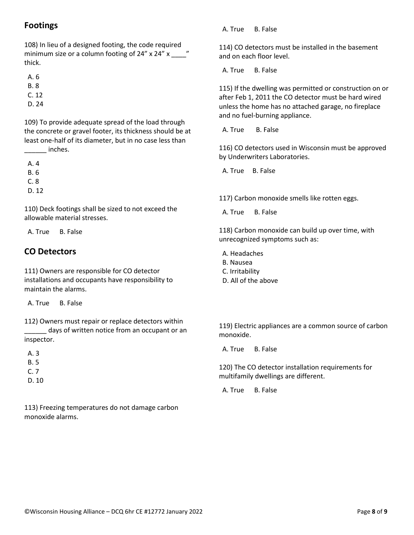### **Footings**

108) In lieu of a designed footing, the code required minimum size or a column footing of 24" x 24" x  $\frac{1}{2}$ " thick.

A. 6

B. 8

 $C. 12$ 

D. 24

109) To provide adequate spread of the load through the concrete or gravel footer, its thickness should be at least one-half of its diameter, but in no case less than external inches.

A. 4

B. 6

C. 8

D. 12

110) Deck footings shall be sized to not exceed the allowable material stresses.

A. True B. False

## **CO Detectors**

111) Owners are responsible for CO detector installations and occupants have responsibility to maintain the alarms.

A. True B. False

112) Owners must repair or replace detectors within days of written notice from an occupant or an inspector.

 A. 3 B. 5 C. 7 D. 10

113) Freezing temperatures do not damage carbon monoxide alarms.

A. True B. False

114) CO detectors must be installed in the basement and on each floor level.

A. True B. False

115) If the dwelling was permitted or construction on or after Feb 1, 2011 the CO detector must be hard wired unless the home has no attached garage, no fireplace and no fuel-burning appliance.

A. True B. False

116) CO detectors used in Wisconsin must be approved by Underwriters Laboratories.

A. True B. False

117) Carbon monoxide smells like rotten eggs.

A. True B. False

118) Carbon monoxide can build up over time, with unrecognized symptoms such as:

A. Headaches

- B. Nausea
- C. Irritability
- D. All of the above

119) Electric appliances are a common source of carbon monoxide.

A. True B. False

120) The CO detector installation requirements for multifamily dwellings are different.